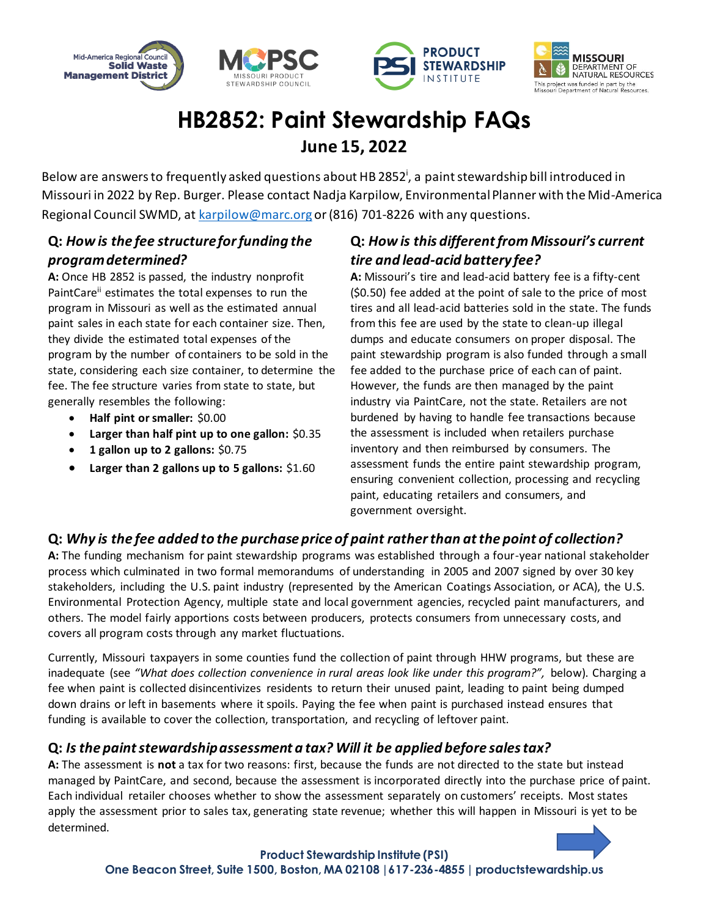







# **HB2852: Paint Stewardship FAQs June 15, 2022**

Below are answers to frequently asked questions about HB 2852<sup>i</sup>, a paint stewardship bill introduced in Missouri in 2022 by Rep. Burger. Please contact Nadja Karpilow, Environmental Planner with the Mid-America Regional Council SWMD, a[t karpilow@marc.org](mailto:karpilow@marc.org) or (816) 701-8226 with any questions.

## **Q:** *How is the fee structure for funding the program determined?*

**A:** Once HB 2852 is passed, the industry nonprofit PaintCare<sup>ii</sup> estimates the total expenses to run the program in Missouri as well as the estimated annual paint sales in each state for each container size. Then, they divide the estimated total expenses of the program by the number of containers to be sold in the state, considering each size container, to determine the fee. The fee structure varies from state to state, but generally resembles the following:

- **Half pint or smaller:** \$0.00
- **Larger than half pint up to one gallon:** \$0.35
- **1 gallon up to 2 gallons:** \$0.75
- **Larger than 2 gallons up to 5 gallons:** \$1.60

## **Q:** *How is this different from Missouri's current tire and lead-acid battery fee?*

**A:** Missouri's tire and lead-acid battery fee is a fifty-cent (\$0.50) fee added at the point of sale to the price of most tires and all lead-acid batteries sold in the state. The funds from this fee are used by the state to clean-up illegal dumps and educate consumers on proper disposal. The paint stewardship program is also funded through a small fee added to the purchase price of each can of paint. However, the funds are then managed by the paint industry via PaintCare, not the state. Retailers are not burdened by having to handle fee transactions because the assessment is included when retailers purchase inventory and then reimbursed by consumers. The assessment funds the entire paint stewardship program, ensuring convenient collection, processing and recycling paint, educating retailers and consumers, and government oversight.

#### **Q:** *Why is the fee added to the purchase price of paint rather than at the point of collection?*

**A:** The funding mechanism for paint stewardship programs was established through a four-year national stakeholder process which culminated in two formal memorandums of understanding in 2005 and 2007 signed by over 30 key stakeholders, including the U.S. paint industry (represented by the American Coatings Association, or ACA), the U.S. Environmental Protection Agency, multiple state and local government agencies, recycled paint manufacturers, and others. The model fairly apportions costs between producers, protects consumers from unnecessary costs, and covers all program costs through any market fluctuations.

Currently, Missouri taxpayers in some counties fund the collection of paint through HHW programs, but these are inadequate (see *"What does collection convenience in rural areas look like under this program?",* below). Charging a fee when paint is collected disincentivizes residents to return their unused paint, leading to paint being dumped down drains or left in basements where it spoils. Paying the fee when paint is purchased instead ensures that funding is available to cover the collection, transportation, and recycling of leftover paint.

#### **Q:** *Is the paint stewardship assessment a tax? Will it be applied before sales tax?*

**A:** The assessment is **not** a tax for two reasons: first, because the funds are not directed to the state but instead managed by PaintCare, and second, because the assessment is incorporated directly into the purchase price of paint. Each individual retailer chooses whether to show the assessment separately on customers' receipts. Most states apply the assessment prior to sales tax, generating state revenue; whether this will happen in Missouri is yet to be determined.